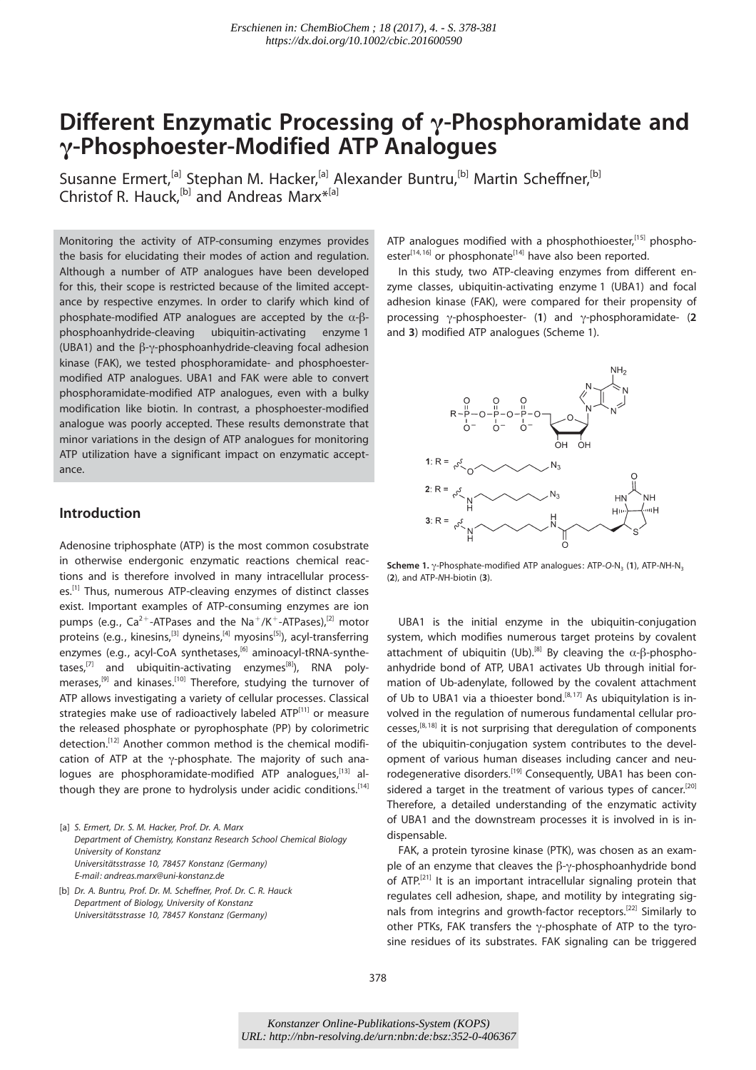# Different Enzymatic Processing of  $\gamma$ -Phosphoramidate and g-Phosphoester-Modified ATP Analogues

Susanne Ermert,<sup>[a]</sup> Stephan M. Hacker,<sup>[a]</sup> Alexander Buntru,<sup>[b]</sup> Martin Scheffner,<sup>[b]</sup> Christof R. Hauck,  $[b]$  and Andreas Marx<sup>\*[a]</sup>

Monitoring the activity of ATP-consuming enzymes provides the basis for elucidating their modes of action and regulation. Although a number of ATP analogues have been developed for this, their scope is restricted because of the limited acceptance by respective enzymes. In order to clarify which kind of phosphate-modified ATP analogues are accepted by the  $\alpha$ - $\beta$ phosphoanhydride-cleaving ubiquitin-activating enzyme 1 (UBA1) and the  $\beta$ - $\gamma$ -phosphoanhydride-cleaving focal adhesion kinase (FAK), we tested phosphoramidate- and phosphoestermodified ATP analogues. UBA1 and FAK were able to convert phosphoramidate-modified ATP analogues, even with a bulky modification like biotin. In contrast, a phosphoester-modified analogue was poorly accepted. These results demonstrate that minor variations in the design of ATP analogues for monitoring ATP utilization have a significant impact on enzymatic acceptance.

### Introduction

Adenosine triphosphate (ATP) is the most common cosubstrate in otherwise endergonic enzymatic reactions chemical reactions and is therefore involved in many intracellular processes.[1] Thus, numerous ATP-cleaving enzymes of distinct classes exist. Important examples of ATP-consuming enzymes are ion pumps (e.g.,  $Ca^{2+}-ATP$ ases and the Na<sup>+</sup>/K<sup>+</sup>-ATPases),<sup>[2]</sup> motor proteins (e.g., kinesins,<sup>[3]</sup> dyneins,<sup>[4]</sup> myosins<sup>[5]</sup>), acyl-transferring enzymes (e.g., acyl-CoA synthetases,<sup>[6]</sup> aminoacyl-tRNA-synthetases,<sup>[7]</sup> and ubiquitin-activating enzymes<sup>[8]</sup>), RNA polymerases,<sup>[9]</sup> and kinases.<sup>[10]</sup> Therefore, studying the turnover of ATP allows investigating a variety of cellular processes. Classical strategies make use of radioactively labeled ATP<sup>[11]</sup> or measure the released phosphate or pyrophosphate (PP) by colorimetric detection.<sup>[12]</sup> Another common method is the chemical modification of ATP at the  $\gamma$ -phosphate. The majority of such analogues are phosphoramidate-modified ATP analogues,<sup>[13]</sup> although they are prone to hydrolysis under acidic conditions.<sup>[14]</sup>

[a] S. Ermert, Dr. S. M. Hacker, Prof. Dr. A. Marx Department of Chemistry, Konstanz Research School Chemical Biology University of Konstanz Universitätsstrasse 10, 78457 Konstanz (Germany) E-mail: andreas.marx@uni-konstanz.de

[b] Dr. A. Buntru, Prof. Dr. M. Scheffner, Prof. Dr. C. R. Hauck Department of Biology, University of Konstanz Universitätsstrasse 10, 78457 Konstanz (Germany)

ATP analogues modified with a phosphothioester,<sup>[15]</sup> phosphoester $[14, 16]$  or phosphonate $[14]$  have also been reported.

In this study, two ATP-cleaving enzymes from different enzyme classes, ubiquitin-activating enzyme 1 (UBA1) and focal adhesion kinase (FAK), were compared for their propensity of processing  $\gamma$ -phosphoester- (1) and  $\gamma$ -phosphoramidate- (2) and 3) modified ATP analogues (Scheme 1).



Scheme 1. y-Phosphate-modified ATP analogues: ATP-O-N<sub>3</sub> (1), ATP-NH-N<sub>3</sub> (2), and ATP-NH-biotin (3).

UBA1 is the initial enzyme in the ubiquitin-conjugation system, which modifies numerous target proteins by covalent attachment of ubiquitin (Ub).<sup>[8]</sup> By cleaving the  $\alpha$ - $\beta$ -phosphoanhydride bond of ATP, UBA1 activates Ub through initial formation of Ub-adenylate, followed by the covalent attachment of Ub to UBA1 via a thioester bond.<sup>[8,17]</sup> As ubiquitylation is involved in the regulation of numerous fundamental cellular processes,<sup>[8, 18]</sup> it is not surprising that deregulation of components of the ubiquitin-conjugation system contributes to the development of various human diseases including cancer and neurodegenerative disorders.<sup>[19]</sup> Consequently, UBA1 has been considered a target in the treatment of various types of cancer.<sup>[20]</sup> Therefore, a detailed understanding of the enzymatic activity of UBA1 and the downstream processes it is involved in is indispensable.

FAK, a protein tyrosine kinase (PTK), was chosen as an example of an enzyme that cleaves the  $\beta$ - $\gamma$ -phosphoanhydride bond of ATP.<sup>[21]</sup> It is an important intracellular signaling protein that regulates cell adhesion, shape, and motility by integrating signals from integrins and growth-factor receptors.[22] Similarly to other PTKs, FAK transfers the  $\gamma$ -phosphate of ATP to the tyrosine residues of its substrates. FAK signaling can be triggered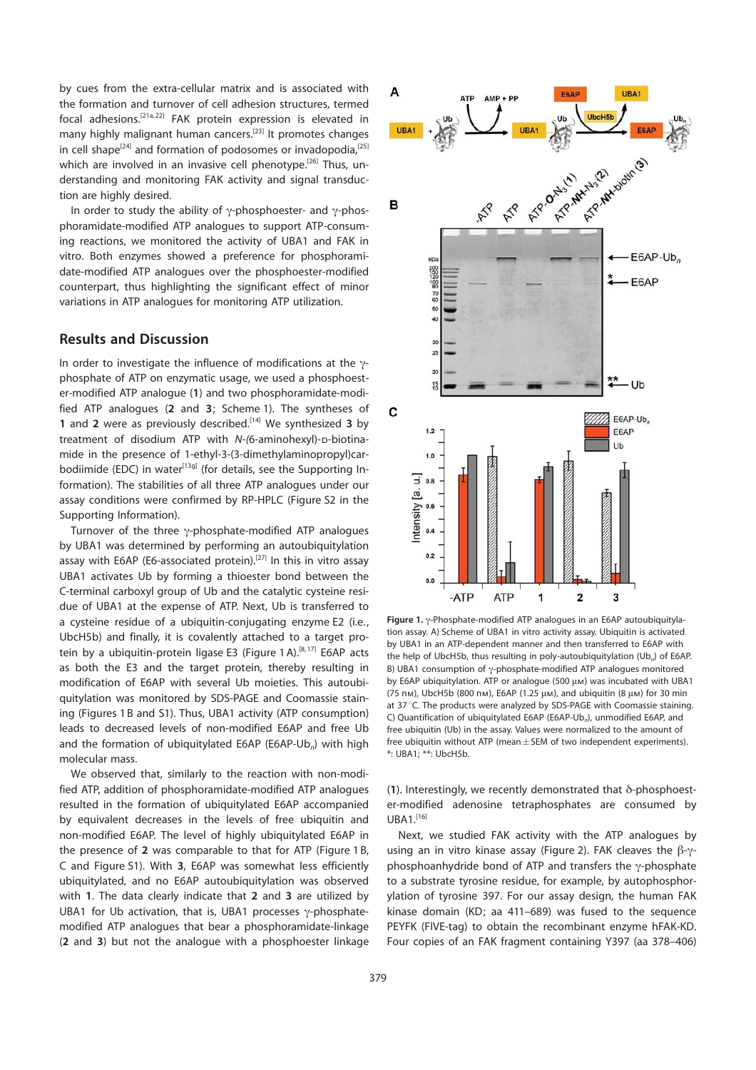by cues from the extra-cellular matrix and is associated with the formation and turnover of cell adhesion structures, termed focal adhesions.[21a, 22] FAK protein expression is elevated in many highly malignant human cancers.<sup>[23]</sup> It promotes changes in cell shape<sup>[24]</sup> and formation of podosomes or invadopodia,<sup>[25]</sup> which are involved in an invasive cell phenotype.<sup>[26]</sup> Thus, understanding and monitoring FAK activity and signal transduction are highly desired.

In order to study the ability of  $\gamma$ -phosphoester- and  $\gamma$ -phosphoramidate-modified ATP analogues to support ATP-consuming reactions, we monitored the activity of UBA1 and FAK in vitro. Both enzymes showed a preference for phosphoramidate-modified ATP analogues over the phosphoester-modified counterpart, thus highlighting the significant effect of minor variations in ATP analogues for monitoring ATP utilization.

#### Results and Discussion

In order to investigate the influence of modifications at the  $\gamma$ phosphate of ATP on enzymatic usage, we used a phosphoester-modified ATP analogue (1) and two phosphoramidate-modified ATP analogues (2 and 3; Scheme 1). The syntheses of 1 and 2 were as previously described.<sup>[14]</sup> We synthesized 3 by treatment of disodium ATP with  $N-(6-$ aminohexyl)-p-biotinamide in the presence of 1-ethyl-3-(3-dimethylaminopropyl)carbodiimide (EDC) in water<sup>[13g]</sup> (for details, see the Supporting Information). The stabilities of all three ATP analogues under our assay conditions were confirmed by RP-HPLC (Figure S2 in the Supporting Information).

Turnover of the three  $\gamma$ -phosphate-modified ATP analogues by UBA1 was determined by performing an autoubiquitylation assay with E6AP (E6-associated protein).<sup>[27]</sup> In this in vitro assay UBA1 activates Ub by forming a thioester bond between the C-terminal carboxyl group of Ub and the catalytic cysteine residue of UBA1 at the expense of ATP. Next, Ub is transferred to a cysteine residue of a ubiquitin-conjugating enzyme E2 (i.e., UbcH5b) and finally, it is covalently attached to a target protein by a ubiquitin-protein ligase E3 (Figure 1A).<sup>[8,17]</sup> E6AP acts as both the E3 and the target protein, thereby resulting in modification of E6AP with several Ub moieties. This autoubiquitylation was monitored by SDS-PAGE and Coomassie staining (Figures 1 B and S1). Thus, UBA1 activity (ATP consumption) leads to decreased levels of non-modified E6AP and free Ub and the formation of ubiquitylated E6AP (E6AP-Ub<sub>n</sub>) with high molecular mass.

We observed that, similarly to the reaction with non-modified ATP, addition of phosphoramidate-modified ATP analogues resulted in the formation of ubiquitylated E6AP accompanied by equivalent decreases in the levels of free ubiquitin and non-modified E6AP. The level of highly ubiquitylated E6AP in the presence of 2 was comparable to that for ATP (Figure 1 B, C and Figure S1). With 3, E6AP was somewhat less efficiently ubiquitylated, and no E6AP autoubiquitylation was observed with 1. The data clearly indicate that 2 and 3 are utilized by UBA1 for Ub activation, that is, UBA1 processes  $\gamma$ -phosphatemodified ATP analogues that bear a phosphoramidate-linkage (2 and 3) but not the analogue with a phosphoester linkage



Figure 1.  $\gamma$ -Phosphate-modified ATP analogues in an E6AP autoubiquitylation assay. A) Scheme of UBA1 in vitro activity assay. Ubiquitin is activated by UBA1 in an ATP-dependent manner and then transferred to E6AP with the help of UbcH5b, thus resulting in poly-autoubiquitylation  $(Ub_n)$  of E6AP. B) UBA1 consumption of  $\gamma$ -phosphate-modified ATP analogues monitored by E6AP ubiquitylation. ATP or analogue (500 µm) was incubated with UBA1 (75 nm), UbcH5b (800 nm), E6AP (1.25  $\mu$ м), and ubiquitin (8  $\mu$ м) for 30 min at 37 °C. The products were analyzed by SDS-PAGE with Coomassie staining. C) Quantification of ubiquitylated E6AP (E6AP-Ub<sub>n</sub>), unmodified E6AP, and free ubiquitin (Ub) in the assay. Values were normalized to the amount of free ubiquitin without ATP (mean $\pm$  SEM of two independent experiments). \*: UBA1; \*\*: UbcH5b.

(1). Interestingly, we recently demonstrated that  $\delta$ -phosphoester-modified adenosine tetraphosphates are consumed by  $UBA1.<sup>[16]</sup>$ 

Next, we studied FAK activity with the ATP analogues by using an in vitro kinase assay (Figure 2). FAK cleaves the  $\beta$ - $\gamma$ phosphoanhydride bond of ATP and transfers the  $\gamma$ -phosphate to a substrate tyrosine residue, for example, by autophosphorylation of tyrosine 397. For our assay design, the human FAK kinase domain (KD; aa 411–689) was fused to the sequence PEYFK (FIVE-tag) to obtain the recombinant enzyme hFAK-KD. Four copies of an FAK fragment containing Y397 (aa 378–406)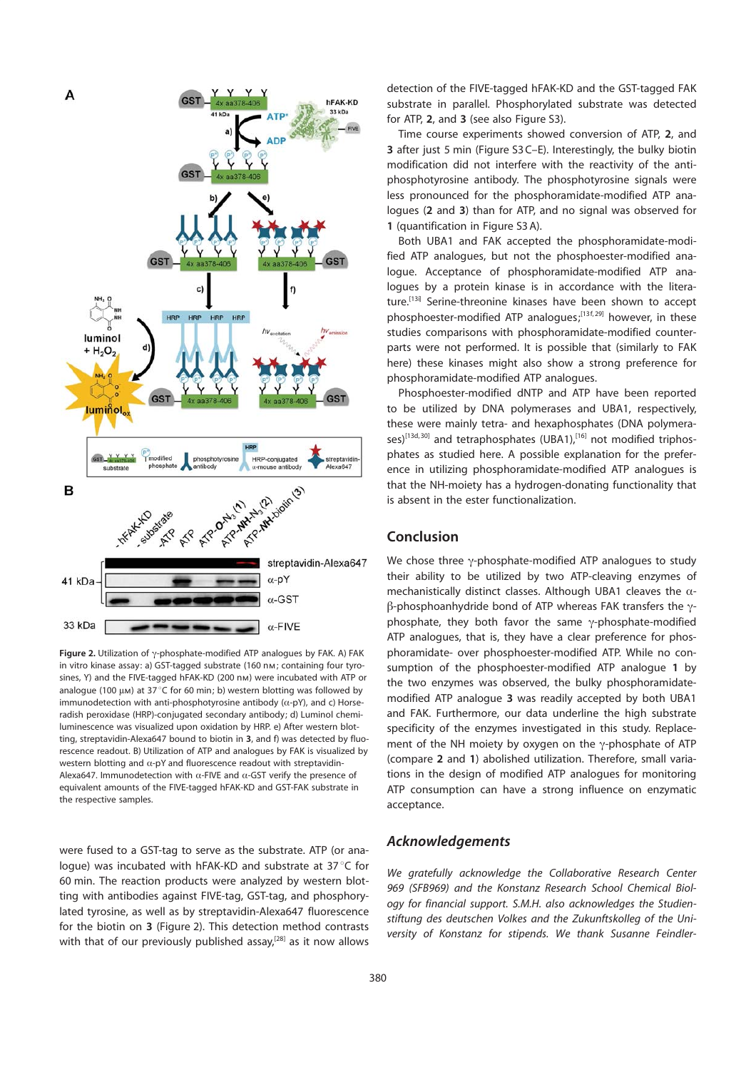

Figure 2. Utilization of  $\gamma$ -phosphate-modified ATP analogues by FAK. A) FAK in vitro kinase assay: a) GST-tagged substrate (160 nm; containing four tyrosines, Y) and the FIVE-tagged hFAK-KD (200 nm) were incubated with ATP or analogue (100  $\mu$ m) at 37 °C for 60 min; b) western blotting was followed by immunodetection with anti-phosphotyrosine antibody  $(\alpha$ -pY), and c) Horseradish peroxidase (HRP)-conjugated secondary antibody; d) Luminol chemiluminescence was visualized upon oxidation by HRP. e) After western blotting, streptavidin-Alexa647 bound to biotin in 3, and f) was detected by fluorescence readout. B) Utilization of ATP and analogues by FAK is visualized by western blotting and  $\alpha$ -pY and fluorescence readout with streptavidin-Alexa647. Immunodetection with  $\alpha$ -FIVE and  $\alpha$ -GST verify the presence of equivalent amounts of the FIVE-tagged hFAK-KD and GST-FAK substrate in the respective samples.

were fused to a GST-tag to serve as the substrate. ATP (or analogue) was incubated with hFAK-KD and substrate at 37°C for 60 min. The reaction products were analyzed by western blotting with antibodies against FIVE-tag, GST-tag, and phosphorylated tyrosine, as well as by streptavidin-Alexa647 fluorescence for the biotin on 3 (Figure 2). This detection method contrasts with that of our previously published assay, $^{[28]}$  as it now allows detection of the FIVE-tagged hFAK-KD and the GST-tagged FAK substrate in parallel. Phosphorylated substrate was detected for ATP, 2, and 3 (see also Figure S3).

Time course experiments showed conversion of ATP, 2, and 3 after just 5 min (Figure S3 C–E). Interestingly, the bulky biotin modification did not interfere with the reactivity of the antiphosphotyrosine antibody. The phosphotyrosine signals were less pronounced for the phosphoramidate-modified ATP analogues (2 and 3) than for ATP, and no signal was observed for 1 (quantification in Figure S3 A).

Both UBA1 and FAK accepted the phosphoramidate-modified ATP analogues, but not the phosphoester-modified analogue. Acceptance of phosphoramidate-modified ATP analogues by a protein kinase is in accordance with the literature.[13i] Serine-threonine kinases have been shown to accept phosphoester-modified ATP analogues;[13f, 29] however, in these studies comparisons with phosphoramidate-modified counterparts were not performed. It is possible that (similarly to FAK here) these kinases might also show a strong preference for phosphoramidate-modified ATP analogues.

Phosphoester-modified dNTP and ATP have been reported to be utilized by DNA polymerases and UBA1, respectively, these were mainly tetra- and hexaphosphates (DNA polymerases)<sup>[13d, 30]</sup> and tetraphosphates (UBA1),<sup>[16]</sup> not modified triphosphates as studied here. A possible explanation for the preference in utilizing phosphoramidate-modified ATP analogues is that the NH-moiety has a hydrogen-donating functionality that is absent in the ester functionalization.

#### Conclusion

We chose three  $\gamma$ -phosphate-modified ATP analogues to study their ability to be utilized by two ATP-cleaving enzymes of mechanistically distinct classes. Although UBA1 cleaves the  $\alpha$ - $\beta$ -phosphoanhydride bond of ATP whereas FAK transfers the  $\gamma$ phosphate, they both favor the same  $\gamma$ -phosphate-modified ATP analogues, that is, they have a clear preference for phosphoramidate- over phosphoester-modified ATP. While no consumption of the phosphoester-modified ATP analogue 1 by the two enzymes was observed, the bulky phosphoramidatemodified ATP analogue 3 was readily accepted by both UBA1 and FAK. Furthermore, our data underline the high substrate specificity of the enzymes investigated in this study. Replacement of the NH moiety by oxygen on the  $\gamma$ -phosphate of ATP (compare 2 and 1) abolished utilization. Therefore, small variations in the design of modified ATP analogues for monitoring ATP consumption can have a strong influence on enzymatic acceptance.

## Acknowledgements

We aratefully acknowledge the Collaborative Research Center 969 (SFB969) and the Konstanz Research School Chemical Biology for financial support. S.M.H. also acknowledges the Studienstiftung des deutschen Volkes and the Zukunftskolleg of the University of Konstanz for stipends. We thank Susanne Feindler